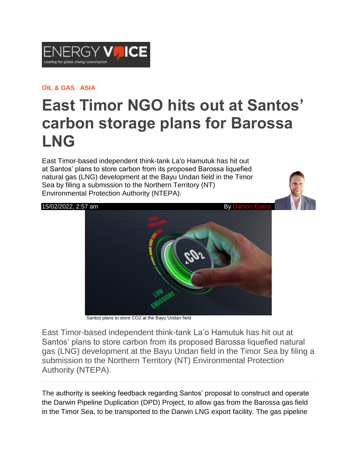

## **OIL & [GAS](https://www.energyvoice.com/category/oilandgas/) / [ASIA](https://www.energyvoice.com/category/oilandgas/asia/)**

## **East Timor NGO hits out at Santos' carbon storage plans for Barossa LNG**

East Timor-based independent think-tank La'o Hamutuk has hit out at Santos' plans to store carbon from its proposed Barossa liquefied natural gas (LNG) development at the Bayu Undan field in the Timor Sea by filing a submission to the Northern Territory (NT) Environmental Protection Authority (NTEPA).





Santos plans to store CO2 at the Bayu Undan field

East Timor-based independent think-tank La'o Hamutuk has hit out at Santos' plans to store carbon from its proposed Barossa liquefied natural gas (LNG) development at the Bayu Undan field in the Timor Sea by filing a submission to the Northern Territory (NT) Environmental Protection Authority (NTEPA).

The authority is seeking feedback regarding Santos' proposal to construct and operate the Darwin Pipeline Duplication (DPD) Project, to allow gas from the Barossa gas field in the Timor Sea, to be transported to the Darwin LNG export facility. The gas pipeline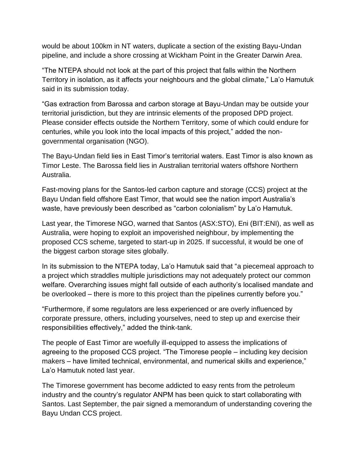would be about 100km in NT waters, duplicate a section of the existing Bayu-Undan pipeline, and include a shore crossing at Wickham Point in the Greater Darwin Area.

"The NTEPA should not look at the part of this project that falls within the Northern Territory in isolation, as it affects your neighbours and the global climate," La'o Hamutuk said in its submission today.

"Gas extraction from Barossa and carbon storage at Bayu-Undan may be outside your territorial jurisdiction, but they are intrinsic elements of the proposed DPD project. Please consider effects outside the Northern Territory, some of which could endure for centuries, while you look into the local impacts of this project," added the nongovernmental organisation (NGO).

The Bayu-Undan field lies in East Timor's territorial waters. East Timor is also known as Timor Leste. The Barossa field lies in Australian territorial waters offshore Northern Australia.

Fast-moving plans for the Santos-led carbon capture and storage (CCS) project at the Bayu Undan field offshore East Timor, that would see the nation import Australia's waste, have previously been described as "carbon colonialism" by La'o Hamutuk.

Last year, the Timorese NGO, warned that Santos (ASX:STO), Eni (BIT:ENI), as well as Australia, were hoping to exploit an impoverished neighbour, by implementing the proposed CCS scheme, targeted to start-up in 2025. If successful, it would be one of the biggest carbon storage sites globally.

In its submission to the NTEPA today, La'o Hamutuk said that "a piecemeal approach to a project which straddles multiple jurisdictions may not adequately protect our common welfare. Overarching issues might fall outside of each authority's localised mandate and be overlooked – there is more to this project than the pipelines currently before you."

"Furthermore, if some regulators are less experienced or are overly influenced by corporate pressure, others, including yourselves, need to step up and exercise their responsibilities effectively," added the think-tank.

The people of East Timor are woefully ill-equipped to assess the implications of agreeing to the proposed CCS project. "The Timorese people – including key decision makers – have limited technical, environmental, and numerical skills and experience," La'o Hamutuk noted last year.

The Timorese government has become addicted to easy rents from the petroleum industry and the country's regulator ANPM has been quick to start collaborating with Santos. Last September, the pair signed a memorandum of understanding covering the Bayu Undan CCS project.